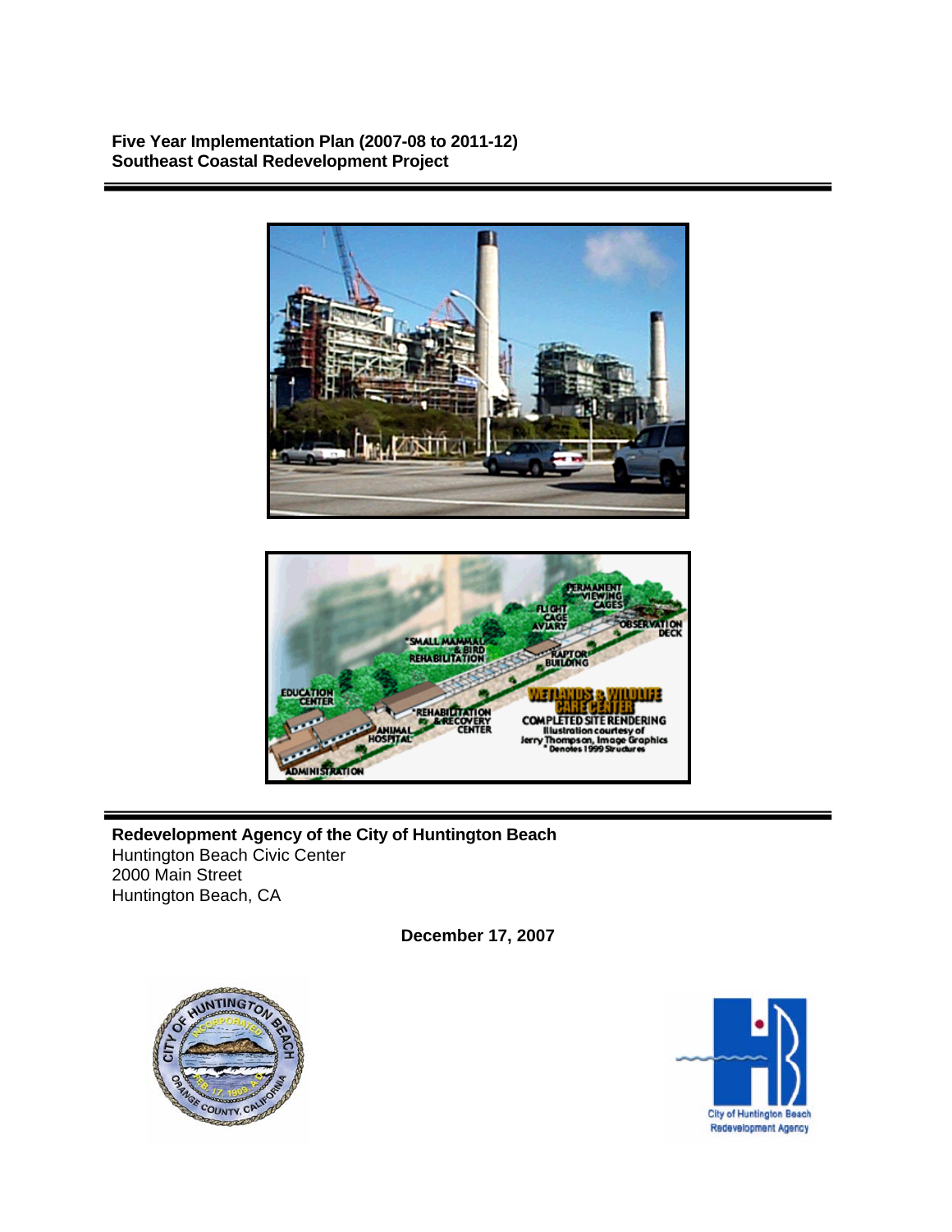**Five Year Implementation Plan (2007-08 to 2011-12) Southeast Coastal Redevelopment Project** 





**Redevelopment Agency of the City of Huntington Beach**  Huntington Beach Civic Center 2000 Main Street Huntington Beach, CA

**December 17, 2007** 



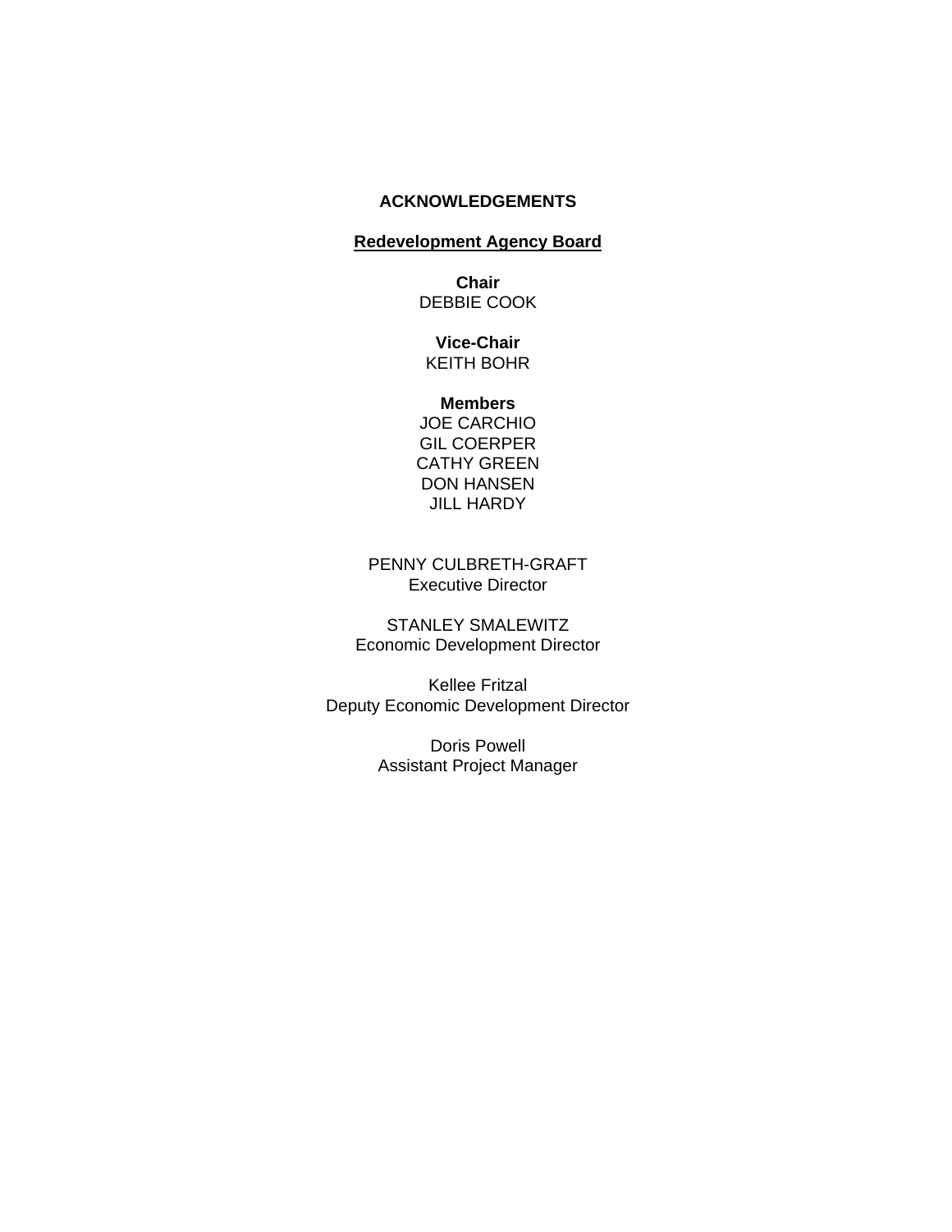## **ACKNOWLEDGEMENTS**

# **Redevelopment Agency Board**

**Chair**  DEBBIE COOK

**Vice-Chair**  KEITH BOHR

#### **Members**

JOE CARCHIO GIL COERPER CATHY GREEN DON HANSEN JILL HARDY

PENNY CULBRETH-GRAFT Executive Director

STANLEY SMALEWITZ Economic Development Director

Kellee Fritzal Deputy Economic Development Director

> Doris Powell Assistant Project Manager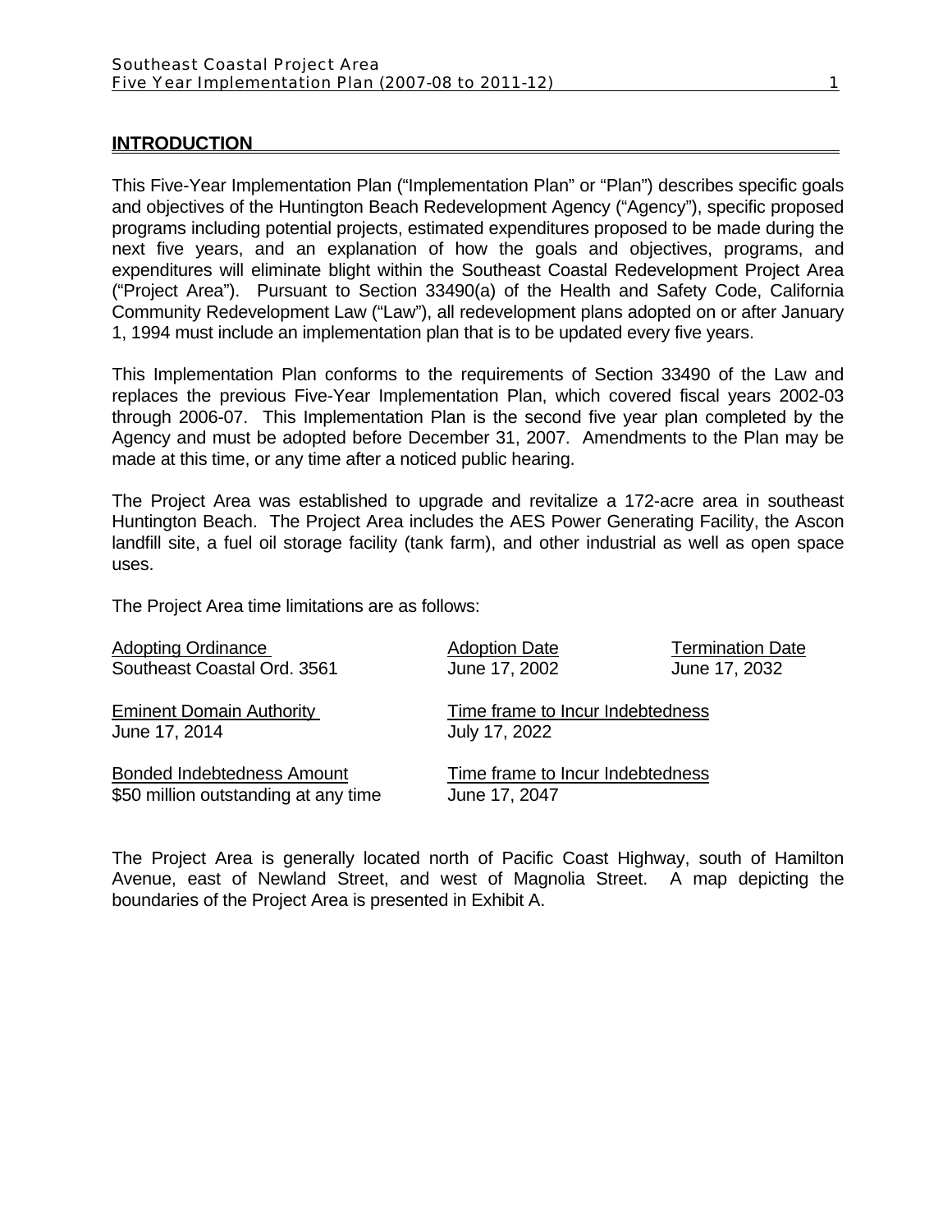#### **INTRODUCTION**

This Five-Year Implementation Plan ("Implementation Plan" or "Plan") describes specific goals and objectives of the Huntington Beach Redevelopment Agency ("Agency"), specific proposed programs including potential projects, estimated expenditures proposed to be made during the next five years, and an explanation of how the goals and objectives, programs, and expenditures will eliminate blight within the Southeast Coastal Redevelopment Project Area ("Project Area"). Pursuant to Section 33490(a) of the Health and Safety Code, California Community Redevelopment Law ("Law"), all redevelopment plans adopted on or after January 1, 1994 must include an implementation plan that is to be updated every five years.

This Implementation Plan conforms to the requirements of Section 33490 of the Law and replaces the previous Five-Year Implementation Plan, which covered fiscal years 2002-03 through 2006-07. This Implementation Plan is the second five year plan completed by the Agency and must be adopted before December 31, 2007. Amendments to the Plan may be made at this time, or any time after a noticed public hearing.

The Project Area was established to upgrade and revitalize a 172-acre area in southeast Huntington Beach. The Project Area includes the AES Power Generating Facility, the Ascon landfill site, a fuel oil storage facility (tank farm), and other industrial as well as open space uses.

The Project Area time limitations are as follows:

| <b>Adopting Ordinance</b>            | <b>Adoption Date</b>             | <b>Termination Date</b> |  |  |  |
|--------------------------------------|----------------------------------|-------------------------|--|--|--|
| Southeast Coastal Ord. 3561          | June 17, 2002                    | June 17, 2032           |  |  |  |
| <b>Eminent Domain Authority</b>      | Time frame to Incur Indebtedness |                         |  |  |  |
| June 17, 2014                        | July 17, 2022                    |                         |  |  |  |
| <b>Bonded Indebtedness Amount</b>    | Time frame to Incur Indebtedness |                         |  |  |  |
| \$50 million outstanding at any time | June 17, 2047                    |                         |  |  |  |

The Project Area is generally located north of Pacific Coast Highway, south of Hamilton Avenue, east of Newland Street, and west of Magnolia Street. A map depicting the boundaries of the Project Area is presented in Exhibit A.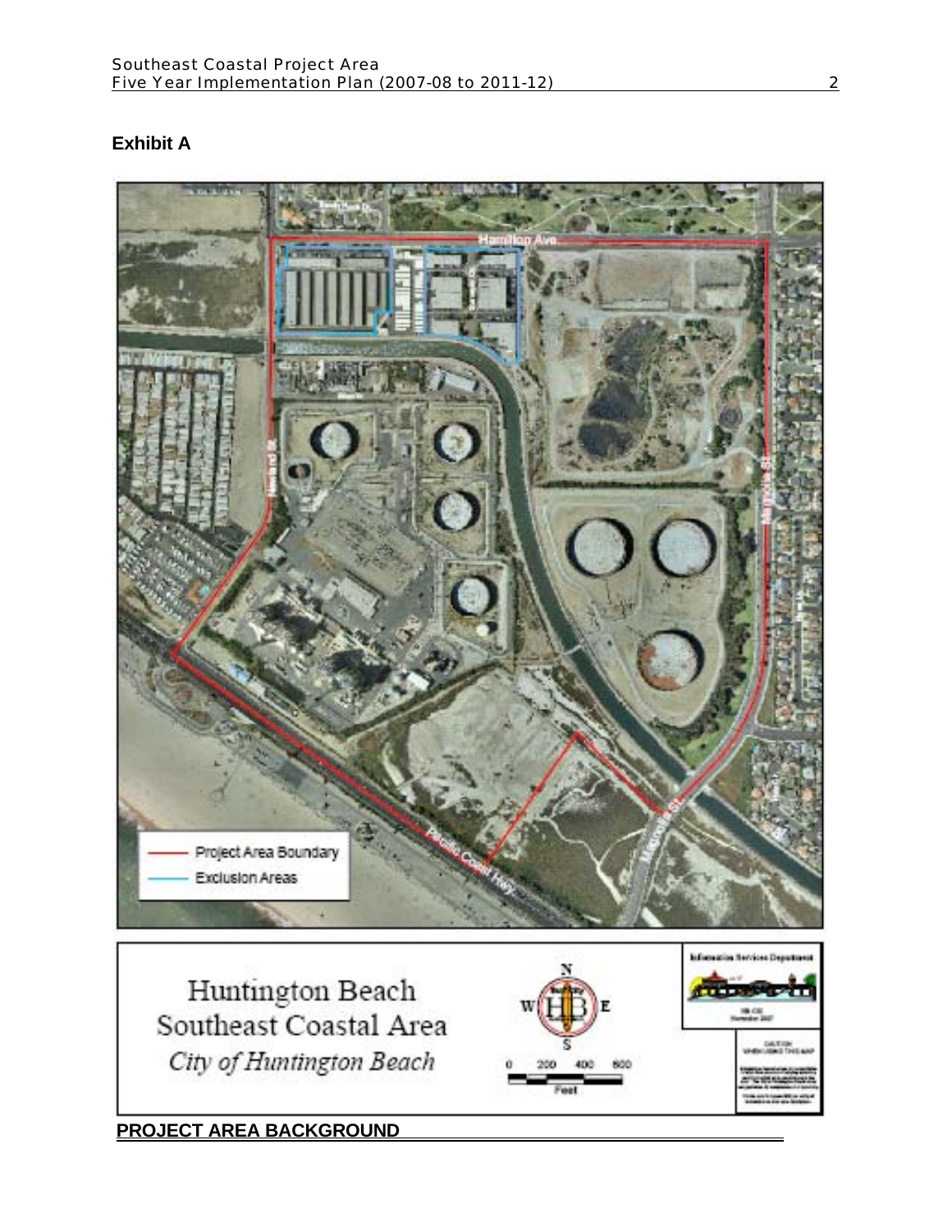# **Exhibit A**

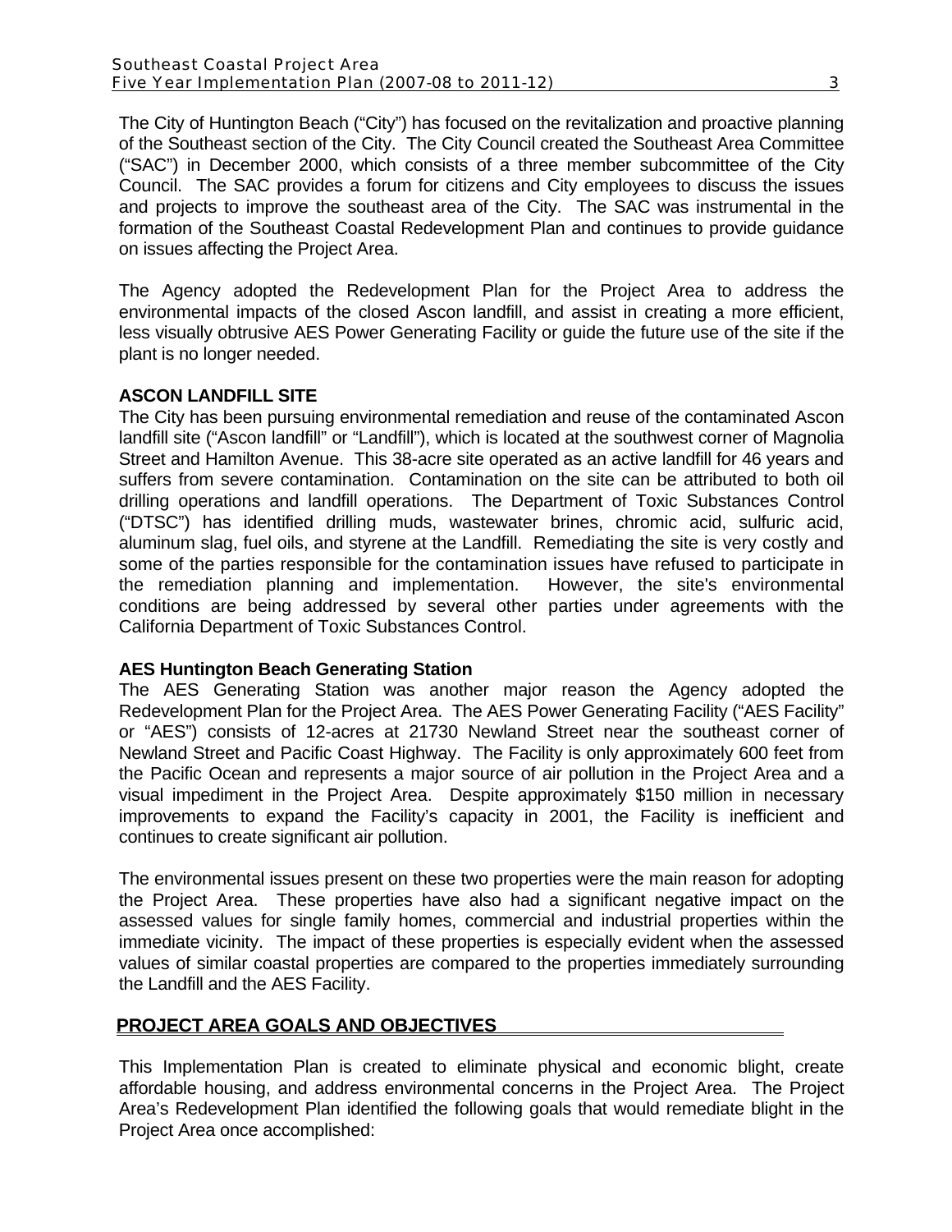The City of Huntington Beach ("City") has focused on the revitalization and proactive planning of the Southeast section of the City. The City Council created the Southeast Area Committee ("SAC") in December 2000, which consists of a three member subcommittee of the City Council. The SAC provides a forum for citizens and City employees to discuss the issues and projects to improve the southeast area of the City. The SAC was instrumental in the formation of the Southeast Coastal Redevelopment Plan and continues to provide guidance on issues affecting the Project Area.

The Agency adopted the Redevelopment Plan for the Project Area to address the environmental impacts of the closed Ascon landfill, and assist in creating a more efficient, less visually obtrusive AES Power Generating Facility or guide the future use of the site if the plant is no longer needed.

#### **ASCON LANDFILL SITE**

The City has been pursuing environmental remediation and reuse of the contaminated Ascon landfill site ("Ascon landfill" or "Landfill"), which is located at the southwest corner of Magnolia Street and Hamilton Avenue. This 38-acre site operated as an active landfill for 46 years and suffers from severe contamination. Contamination on the site can be attributed to both oil drilling operations and landfill operations. The Department of Toxic Substances Control ("DTSC") has identified drilling muds, wastewater brines, chromic acid, sulfuric acid, aluminum slag, fuel oils, and styrene at the Landfill. Remediating the site is very costly and some of the parties responsible for the contamination issues have refused to participate in the remediation planning and implementation. However, the site's environmental conditions are being addressed by several other parties under agreements with the California Department of Toxic Substances Control.

#### **AES Huntington Beach Generating Station**

The AES Generating Station was another major reason the Agency adopted the Redevelopment Plan for the Project Area. The AES Power Generating Facility ("AES Facility" or "AES") consists of 12-acres at 21730 Newland Street near the southeast corner of Newland Street and Pacific Coast Highway. The Facility is only approximately 600 feet from the Pacific Ocean and represents a major source of air pollution in the Project Area and a visual impediment in the Project Area. Despite approximately \$150 million in necessary improvements to expand the Facility's capacity in 2001, the Facility is inefficient and continues to create significant air pollution.

The environmental issues present on these two properties were the main reason for adopting the Project Area. These properties have also had a significant negative impact on the assessed values for single family homes, commercial and industrial properties within the immediate vicinity. The impact of these properties is especially evident when the assessed values of similar coastal properties are compared to the properties immediately surrounding the Landfill and the AES Facility.

## **PROJECT AREA GOALS AND OBJECTIVES**

This Implementation Plan is created to eliminate physical and economic blight, create affordable housing, and address environmental concerns in the Project Area. The Project Area's Redevelopment Plan identified the following goals that would remediate blight in the Project Area once accomplished: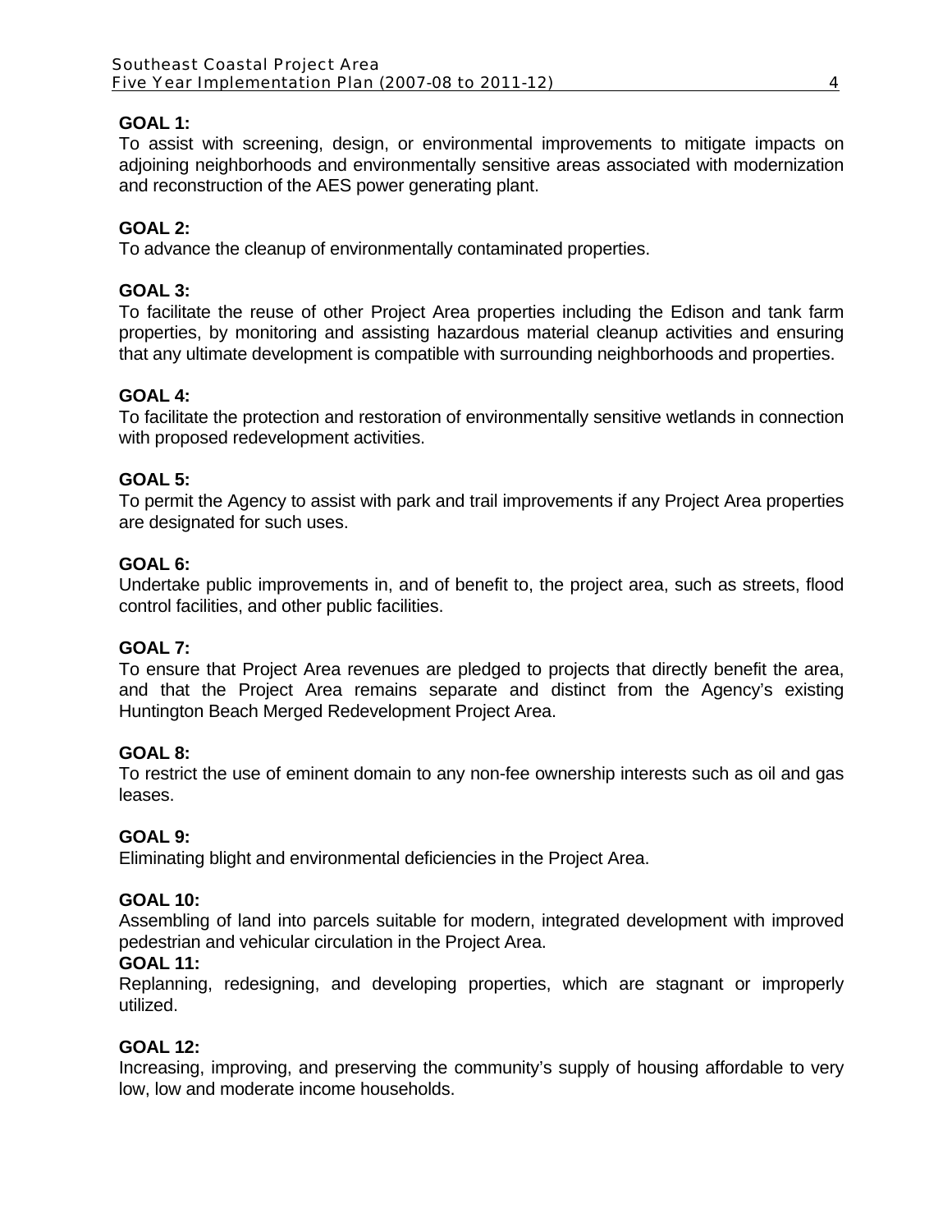# **GOAL 1:**

To assist with screening, design, or environmental improvements to mitigate impacts on adjoining neighborhoods and environmentally sensitive areas associated with modernization and reconstruction of the AES power generating plant.

# **GOAL 2:**

To advance the cleanup of environmentally contaminated properties.

## **GOAL 3:**

To facilitate the reuse of other Project Area properties including the Edison and tank farm properties, by monitoring and assisting hazardous material cleanup activities and ensuring that any ultimate development is compatible with surrounding neighborhoods and properties.

## **GOAL 4:**

To facilitate the protection and restoration of environmentally sensitive wetlands in connection with proposed redevelopment activities.

## **GOAL 5:**

To permit the Agency to assist with park and trail improvements if any Project Area properties are designated for such uses.

## **GOAL 6:**

Undertake public improvements in, and of benefit to, the project area, such as streets, flood control facilities, and other public facilities.

#### **GOAL 7:**

To ensure that Project Area revenues are pledged to projects that directly benefit the area, and that the Project Area remains separate and distinct from the Agency's existing Huntington Beach Merged Redevelopment Project Area.

## **GOAL 8:**

To restrict the use of eminent domain to any non-fee ownership interests such as oil and gas leases.

#### **GOAL 9:**

Eliminating blight and environmental deficiencies in the Project Area.

#### **GOAL 10:**

Assembling of land into parcels suitable for modern, integrated development with improved pedestrian and vehicular circulation in the Project Area.

#### **GOAL 11:**

Replanning, redesigning, and developing properties, which are stagnant or improperly utilized.

## **GOAL 12:**

Increasing, improving, and preserving the community's supply of housing affordable to very low, low and moderate income households.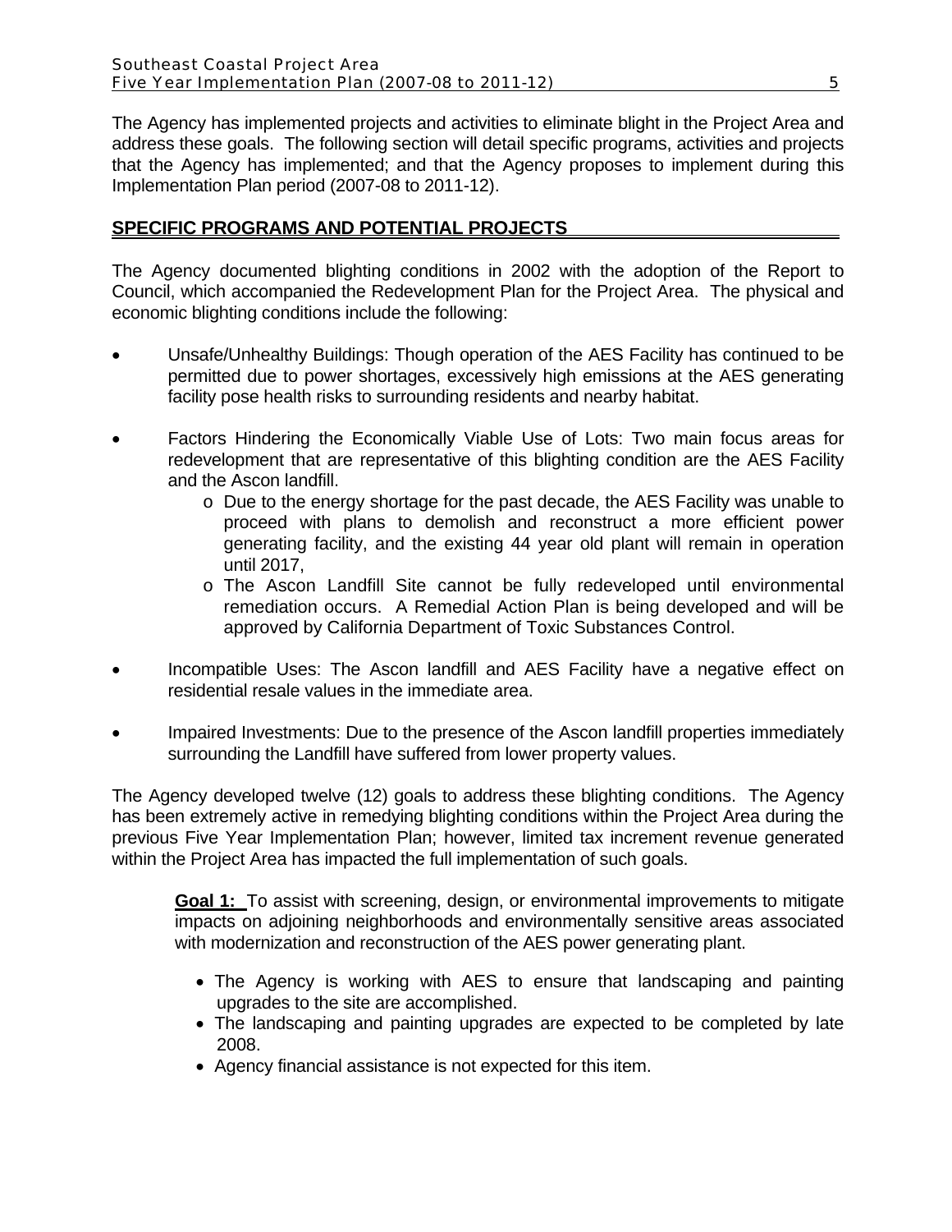The Agency has implemented projects and activities to eliminate blight in the Project Area and address these goals. The following section will detail specific programs, activities and projects that the Agency has implemented; and that the Agency proposes to implement during this Implementation Plan period (2007-08 to 2011-12).

## **SPECIFIC PROGRAMS AND POTENTIAL PROJECTS**

The Agency documented blighting conditions in 2002 with the adoption of the Report to Council, which accompanied the Redevelopment Plan for the Project Area. The physical and economic blighting conditions include the following:

- Unsafe/Unhealthy Buildings: Though operation of the AES Facility has continued to be permitted due to power shortages, excessively high emissions at the AES generating facility pose health risks to surrounding residents and nearby habitat.
- Factors Hindering the Economically Viable Use of Lots: Two main focus areas for redevelopment that are representative of this blighting condition are the AES Facility and the Ascon landfill.
	- o Due to the energy shortage for the past decade, the AES Facility was unable to proceed with plans to demolish and reconstruct a more efficient power generating facility, and the existing 44 year old plant will remain in operation until 2017,
	- o The Ascon Landfill Site cannot be fully redeveloped until environmental remediation occurs. A Remedial Action Plan is being developed and will be approved by California Department of Toxic Substances Control.
- Incompatible Uses: The Ascon landfill and AES Facility have a negative effect on residential resale values in the immediate area.
- Impaired Investments: Due to the presence of the Ascon landfill properties immediately surrounding the Landfill have suffered from lower property values.

The Agency developed twelve (12) goals to address these blighting conditions. The Agency has been extremely active in remedying blighting conditions within the Project Area during the previous Five Year Implementation Plan; however, limited tax increment revenue generated within the Project Area has impacted the full implementation of such goals.

**Goal 1:** To assist with screening, design, or environmental improvements to mitigate impacts on adjoining neighborhoods and environmentally sensitive areas associated with modernization and reconstruction of the AES power generating plant.

- The Agency is working with AES to ensure that landscaping and painting upgrades to the site are accomplished.
- The landscaping and painting upgrades are expected to be completed by late 2008.
- Agency financial assistance is not expected for this item.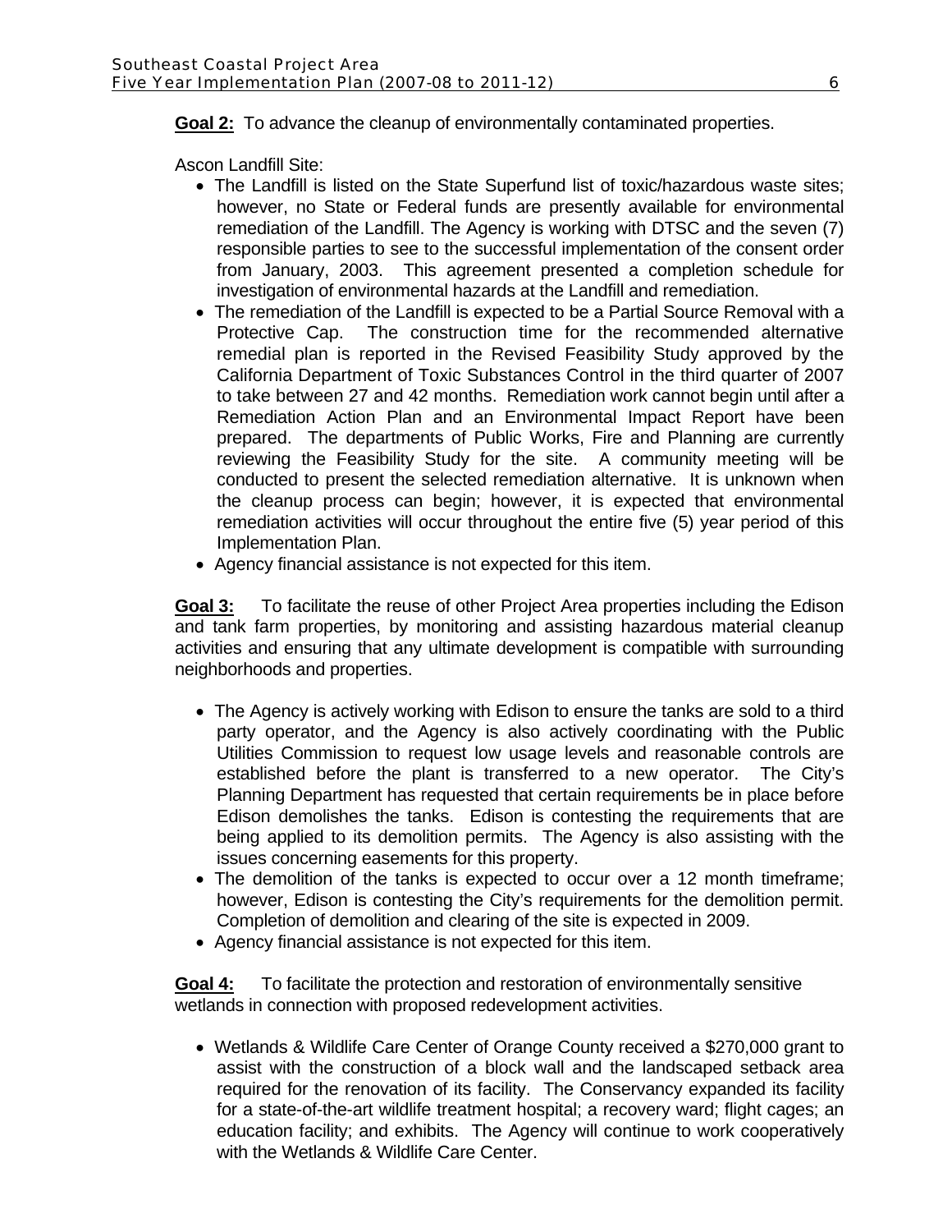## **Goal 2:** To advance the cleanup of environmentally contaminated properties.

Ascon Landfill Site:

- The Landfill is listed on the State Superfund list of toxic/hazardous waste sites; however, no State or Federal funds are presently available for environmental remediation of the Landfill. The Agency is working with DTSC and the seven (7) responsible parties to see to the successful implementation of the consent order from January, 2003. This agreement presented a completion schedule for investigation of environmental hazards at the Landfill and remediation.
- The remediation of the Landfill is expected to be a Partial Source Removal with a Protective Cap. The construction time for the recommended alternative remedial plan is reported in the Revised Feasibility Study approved by the California Department of Toxic Substances Control in the third quarter of 2007 to take between 27 and 42 months. Remediation work cannot begin until after a Remediation Action Plan and an Environmental Impact Report have been prepared. The departments of Public Works, Fire and Planning are currently reviewing the Feasibility Study for the site. A community meeting will be conducted to present the selected remediation alternative. It is unknown when the cleanup process can begin; however, it is expected that environmental remediation activities will occur throughout the entire five (5) year period of this Implementation Plan.
- Agency financial assistance is not expected for this item.

**Goal 3:** To facilitate the reuse of other Project Area properties including the Edison and tank farm properties, by monitoring and assisting hazardous material cleanup activities and ensuring that any ultimate development is compatible with surrounding neighborhoods and properties.

- The Agency is actively working with Edison to ensure the tanks are sold to a third party operator, and the Agency is also actively coordinating with the Public Utilities Commission to request low usage levels and reasonable controls are established before the plant is transferred to a new operator. The City's Planning Department has requested that certain requirements be in place before Edison demolishes the tanks. Edison is contesting the requirements that are being applied to its demolition permits. The Agency is also assisting with the issues concerning easements for this property.
- The demolition of the tanks is expected to occur over a 12 month timeframe; however, Edison is contesting the City's requirements for the demolition permit. Completion of demolition and clearing of the site is expected in 2009.
- Agency financial assistance is not expected for this item.

**Goal 4:** To facilitate the protection and restoration of environmentally sensitive wetlands in connection with proposed redevelopment activities.

• Wetlands & Wildlife Care Center of Orange County received a \$270,000 grant to assist with the construction of a block wall and the landscaped setback area required for the renovation of its facility. The Conservancy expanded its facility for a state-of-the-art wildlife treatment hospital; a recovery ward; flight cages; an education facility; and exhibits. The Agency will continue to work cooperatively with the Wetlands & Wildlife Care Center.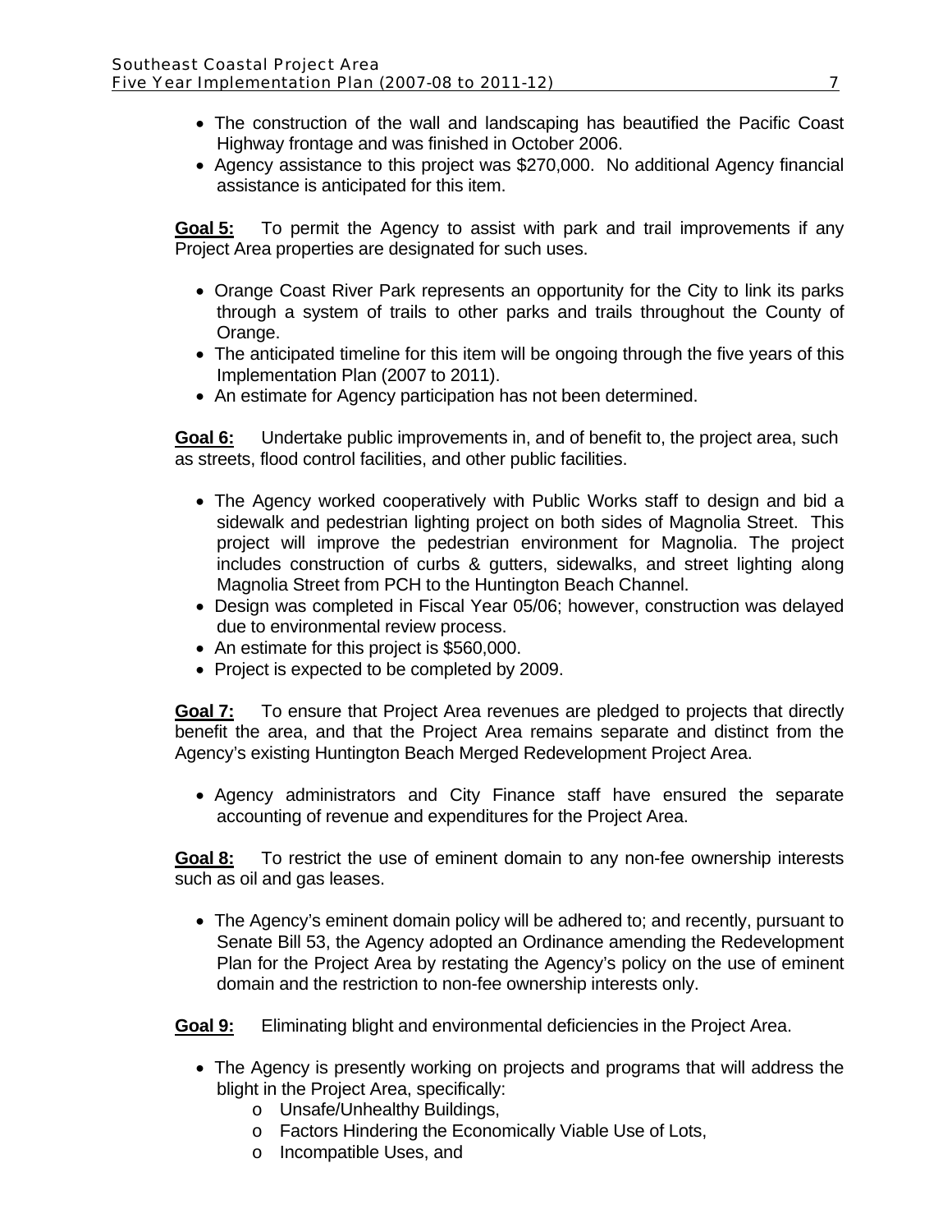- The construction of the wall and landscaping has beautified the Pacific Coast Highway frontage and was finished in October 2006.
- Agency assistance to this project was \$270,000. No additional Agency financial assistance is anticipated for this item.

**Goal 5:** To permit the Agency to assist with park and trail improvements if any Project Area properties are designated for such uses.

- Orange Coast River Park represents an opportunity for the City to link its parks through a system of trails to other parks and trails throughout the County of Orange.
- The anticipated timeline for this item will be ongoing through the five years of this Implementation Plan (2007 to 2011).
- An estimate for Agency participation has not been determined.

**Goal 6:** Undertake public improvements in, and of benefit to, the project area, such as streets, flood control facilities, and other public facilities.

- The Agency worked cooperatively with Public Works staff to design and bid a sidewalk and pedestrian lighting project on both sides of Magnolia Street. This project will improve the pedestrian environment for Magnolia. The project includes construction of curbs & gutters, sidewalks, and street lighting along Magnolia Street from PCH to the Huntington Beach Channel.
- Design was completed in Fiscal Year 05/06; however, construction was delayed due to environmental review process.
- An estimate for this project is \$560,000.
- Project is expected to be completed by 2009.

**Goal 7:** To ensure that Project Area revenues are pledged to projects that directly benefit the area, and that the Project Area remains separate and distinct from the Agency's existing Huntington Beach Merged Redevelopment Project Area.

• Agency administrators and City Finance staff have ensured the separate accounting of revenue and expenditures for the Project Area.

**Goal 8:** To restrict the use of eminent domain to any non-fee ownership interests such as oil and gas leases.

• The Agency's eminent domain policy will be adhered to; and recently, pursuant to Senate Bill 53, the Agency adopted an Ordinance amending the Redevelopment Plan for the Project Area by restating the Agency's policy on the use of eminent domain and the restriction to non-fee ownership interests only.

**Goal 9:** Eliminating blight and environmental deficiencies in the Project Area.

- The Agency is presently working on projects and programs that will address the blight in the Project Area, specifically:
	- o Unsafe/Unhealthy Buildings,
	- o Factors Hindering the Economically Viable Use of Lots,
	- o Incompatible Uses, and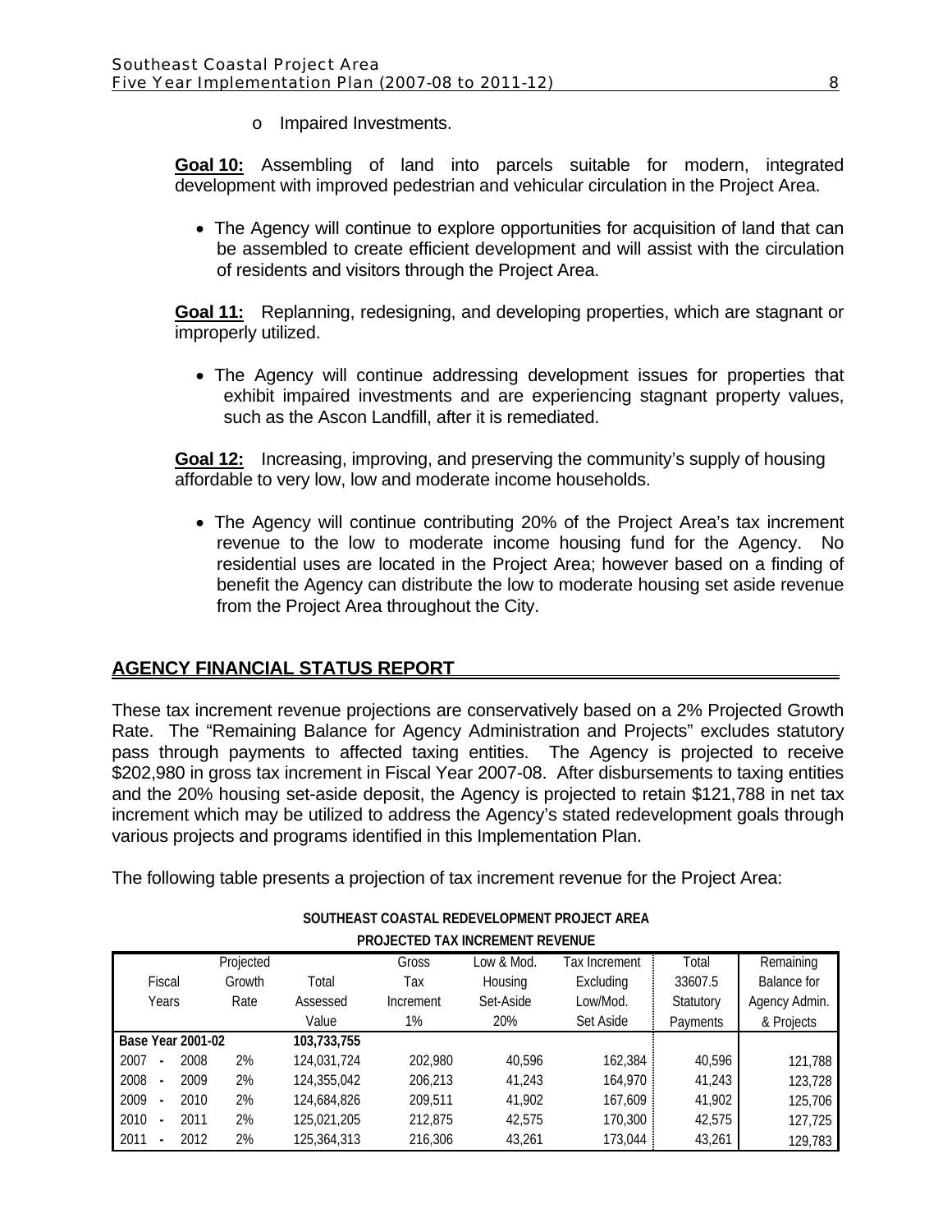o Impaired Investments.

**Goal 10:** Assembling of land into parcels suitable for modern, integrated development with improved pedestrian and vehicular circulation in the Project Area.

• The Agency will continue to explore opportunities for acquisition of land that can be assembled to create efficient development and will assist with the circulation of residents and visitors through the Project Area.

**Goal 11:** Replanning, redesigning, and developing properties, which are stagnant or improperly utilized.

• The Agency will continue addressing development issues for properties that exhibit impaired investments and are experiencing stagnant property values, such as the Ascon Landfill, after it is remediated.

**Goal 12:** Increasing, improving, and preserving the community's supply of housing affordable to very low, low and moderate income households.

• The Agency will continue contributing 20% of the Project Area's tax increment revenue to the low to moderate income housing fund for the Agency. No residential uses are located in the Project Area; however based on a finding of benefit the Agency can distribute the low to moderate housing set aside revenue from the Project Area throughout the City.

# **AGENCY FINANCIAL STATUS REPORT**

These tax increment revenue projections are conservatively based on a 2% Projected Growth Rate. The "Remaining Balance for Agency Administration and Projects" excludes statutory pass through payments to affected taxing entities. The Agency is projected to receive \$202,980 in gross tax increment in Fiscal Year 2007-08. After disbursements to taxing entities and the 20% housing set-aside deposit, the Agency is projected to retain \$121,788 in net tax increment which may be utilized to address the Agency's stated redevelopment goals through various projects and programs identified in this Implementation Plan.

The following table presents a projection of tax increment revenue for the Project Area:

| <b>FRUJECTED TAA INGREIVIENT REVENUE</b> |      |           |             |           |            |               |           |                    |
|------------------------------------------|------|-----------|-------------|-----------|------------|---------------|-----------|--------------------|
|                                          |      | Projected |             | Gross     | _ow & Mod. | Tax Increment | Total     | Remaining          |
| Fiscal                                   |      | Growth    | Total       | Тах       | Housing    | Excluding     | 33607.5   | <b>Balance for</b> |
| Years                                    |      | Rate      | Assessed    | Increment | Set-Aside  | Low/Mod.      | Statutory | Agency Admin.      |
|                                          |      |           | Value       | 1%        | 20%        | Set Aside     | Payments  | & Projects         |
| <b>Base Year 2001-02</b>                 |      |           | 103,733,755 |           |            |               |           |                    |
| 2007                                     | 2008 | 2%        | 124,031,724 | 202.980   | 40.596     | 162,384       | 40,596    | 121,788            |
| 2008<br>$\blacksquare$                   | 2009 | 2%        | 124,355,042 | 206.213   | 41.243     | 164.970       | 41,243    | 123,728            |
| 2009<br>$\overline{\phantom{a}}$         | 2010 | 2%        | 124,684,826 | 209.511   | 41,902     | 167.609       | 41,902    | 125,706            |
| 2010                                     | 2011 | 2%        | 125.021.205 | 212.875   | 42.575     | 170,300       | 42,575    | 127,725            |
| 2011                                     | 2012 | 2%        | 125,364,313 | 216,306   | 43,261     | 173,044       | 43,261    | 129,783            |

#### **SOUTHEAST COASTAL REDEVELOPMENT PROJECT AREA PROJECTED TAX INCREMENT REVENUE**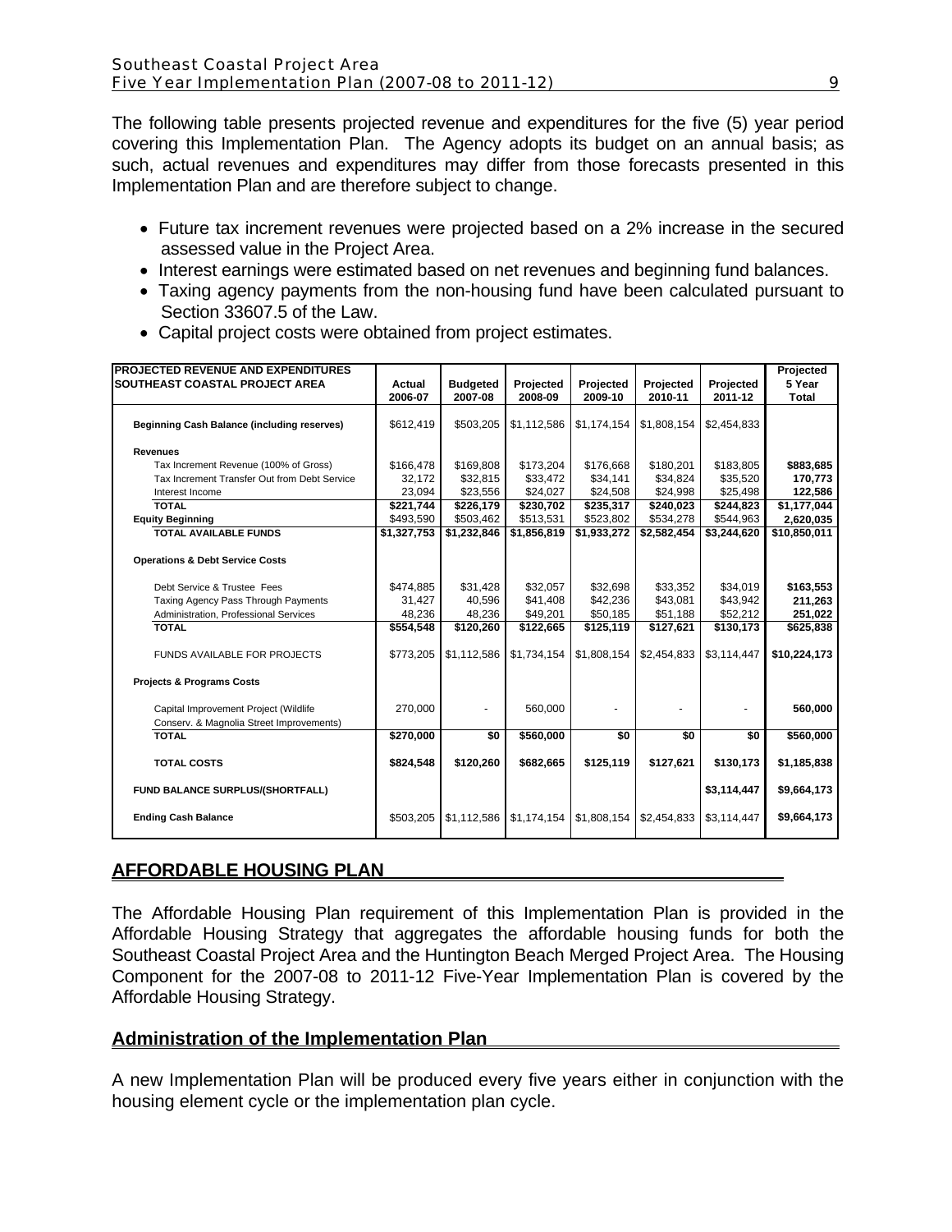The following table presents projected revenue and expenditures for the five (5) year period covering this Implementation Plan. The Agency adopts its budget on an annual basis; as such, actual revenues and expenditures may differ from those forecasts presented in this Implementation Plan and are therefore subject to change.

- Future tax increment revenues were projected based on a 2% increase in the secured assessed value in the Project Area.
- Interest earnings were estimated based on net revenues and beginning fund balances.
- Taxing agency payments from the non-housing fund have been calculated pursuant to Section 33607.5 of the Law.

| <b>PROJECTED REVENUE AND EXPENDITURES</b>          |             |                 |             |             |             |             | Projected    |
|----------------------------------------------------|-------------|-----------------|-------------|-------------|-------------|-------------|--------------|
| SOUTHEAST COASTAL PROJECT AREA                     | Actual      | <b>Budgeted</b> | Projected   | Projected   | Projected   | Projected   | 5 Year       |
|                                                    | 2006-07     | 2007-08         | 2008-09     | 2009-10     | 2010-11     | 2011-12     | <b>Total</b> |
|                                                    |             |                 |             |             |             |             |              |
| <b>Beginning Cash Balance (including reserves)</b> | \$612,419   | \$503,205       | \$1,112,586 | \$1,174,154 | \$1,808,154 | \$2,454,833 |              |
| <b>Revenues</b>                                    |             |                 |             |             |             |             |              |
| Tax Increment Revenue (100% of Gross)              | \$166,478   | \$169.808       | \$173.204   | \$176.668   | \$180.201   | \$183.805   | \$883,685    |
| Tax Increment Transfer Out from Debt Service       | 32,172      | \$32,815        | \$33,472    | \$34,141    | \$34,824    | \$35,520    | 170,773      |
| Interest Income                                    | 23,094      | \$23,556        | \$24,027    | \$24,508    | \$24,998    | \$25,498    | 122,586      |
| <b>TOTAL</b>                                       | \$221,744   | \$226,179       | \$230,702   | \$235,317   | \$240,023   | \$244.823   | \$1,177,044  |
| <b>Equity Beginning</b>                            | \$493,590   | \$503,462       | \$513,531   | \$523,802   | \$534,278   | \$544,963   | 2,620,035    |
| <b>TOTAL AVAILABLE FUNDS</b>                       | \$1,327,753 | \$1,232,846     | \$1,856,819 | \$1,933,272 | \$2,582,454 | \$3,244,620 | \$10,850,011 |
|                                                    |             |                 |             |             |             |             |              |
| <b>Operations &amp; Debt Service Costs</b>         |             |                 |             |             |             |             |              |
|                                                    |             |                 |             |             |             |             |              |
| Debt Service & Trustee Fees                        | \$474,885   | \$31,428        | \$32,057    | \$32,698    | \$33,352    | \$34,019    | \$163,553    |
| Taxing Agency Pass Through Payments                | 31,427      | 40,596          | \$41,408    | \$42,236    | \$43,081    | \$43,942    | 211,263      |
| Administration, Professional Services              | 48.236      | 48,236          | \$49,201    | \$50,185    | \$51,188    | \$52,212    | 251,022      |
| <b>TOTAL</b>                                       | \$554,548   | \$120,260       | \$122,665   | \$125,119   | \$127,621   | \$130,173   | \$625,838    |
|                                                    |             |                 |             |             |             |             |              |
| <b>FUNDS AVAILABLE FOR PROJECTS</b>                | \$773,205   | \$1,112,586     | \$1,734,154 | \$1,808,154 | \$2,454,833 | \$3,114,447 | \$10,224,173 |
|                                                    |             |                 |             |             |             |             |              |
| <b>Projects &amp; Programs Costs</b>               |             |                 |             |             |             |             |              |
| Capital Improvement Project (Wildlife              | 270.000     | ٠               | 560,000     |             |             |             | 560,000      |
| Conserv. & Magnolia Street Improvements)           |             |                 |             |             |             |             |              |
| <b>TOTAL</b>                                       | \$270,000   | \$0             | \$560,000   | \$0         | \$0         | \$0         | \$560,000    |
|                                                    |             |                 |             |             |             |             |              |
| <b>TOTAL COSTS</b>                                 | \$824,548   | \$120,260       | \$682,665   | \$125,119   | \$127,621   | \$130,173   | \$1,185,838  |
| FUND BALANCE SURPLUS/(SHORTFALL)                   |             |                 |             |             |             | \$3,114,447 | \$9,664,173  |
|                                                    |             |                 |             |             |             |             |              |
| <b>Ending Cash Balance</b>                         | \$503,205   | \$1.112.586     | \$1,174,154 | \$1,808,154 | \$2.454.833 | \$3,114,447 | \$9,664,173  |
|                                                    |             |                 |             |             |             |             |              |

• Capital project costs were obtained from project estimates.

# **AFFORDABLE HOUSING PLAN**

The Affordable Housing Plan requirement of this Implementation Plan is provided in the Affordable Housing Strategy that aggregates the affordable housing funds for both the Southeast Coastal Project Area and the Huntington Beach Merged Project Area. The Housing Component for the 2007-08 to 2011-12 Five-Year Implementation Plan is covered by the Affordable Housing Strategy.

# **Administration of the Implementation Plan**

A new Implementation Plan will be produced every five years either in conjunction with the housing element cycle or the implementation plan cycle.